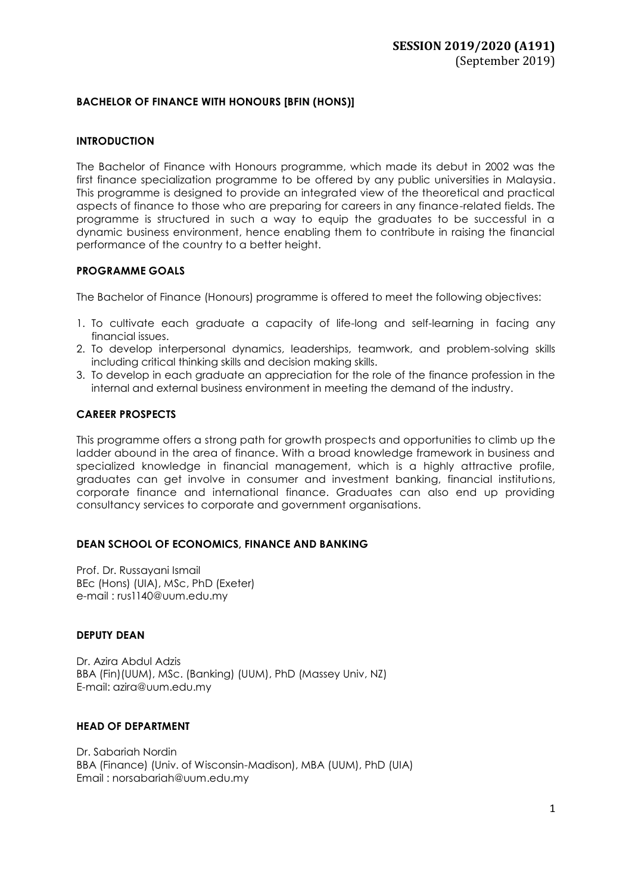### **BACHELOR OF FINANCE WITH HONOURS [BFIN (HONS)]**

### **INTRODUCTION**

The Bachelor of Finance with Honours programme, which made its debut in 2002 was the first finance specialization programme to be offered by any public universities in Malaysia. This programme is designed to provide an integrated view of the theoretical and practical aspects of finance to those who are preparing for careers in any finance-related fields. The programme is structured in such a way to equip the graduates to be successful in a dynamic business environment, hence enabling them to contribute in raising the financial performance of the country to a better height.

### **PROGRAMME GOALS**

The Bachelor of Finance (Honours) programme is offered to meet the following objectives:

- 1. To cultivate each graduate a capacity of life-long and self-learning in facing any financial issues.
- 2. To develop interpersonal dynamics, leaderships, teamwork, and problem-solving skills including critical thinking skills and decision making skills.
- 3. To develop in each graduate an appreciation for the role of the finance profession in the internal and external business environment in meeting the demand of the industry.

### **CAREER PROSPECTS**

This programme offers a strong path for growth prospects and opportunities to climb up the ladder abound in the area of finance. With a broad knowledge framework in business and specialized knowledge in financial management, which is a highly attractive profile, graduates can get involve in consumer and investment banking, financial institutions, corporate finance and international finance. Graduates can also end up providing consultancy services to corporate and government organisations.

### **DEAN SCHOOL OF ECONOMICS, FINANCE AND BANKING**

Prof. Dr. Russayani Ismail BEc (Hons) (UIA), MSc, PhD (Exeter) e-mail : [rus1140@uum.edu.my](mailto:rus1140@uum.edu.my)

### **DEPUTY DEAN**

Dr. Azira Abdul Adzis BBA (Fin)(UUM), MSc. (Banking) (UUM), PhD (Massey Univ, NZ) E-mail: azira@uum.edu.my

### **HEAD OF DEPARTMENT**

Dr. Sabariah Nordin BBA (Finance) (Univ. of Wisconsin-Madison), MBA (UUM), PhD (UIA) Email [: norsabariah@uum.edu.my](mailto:norsabariah@uum.edu.my)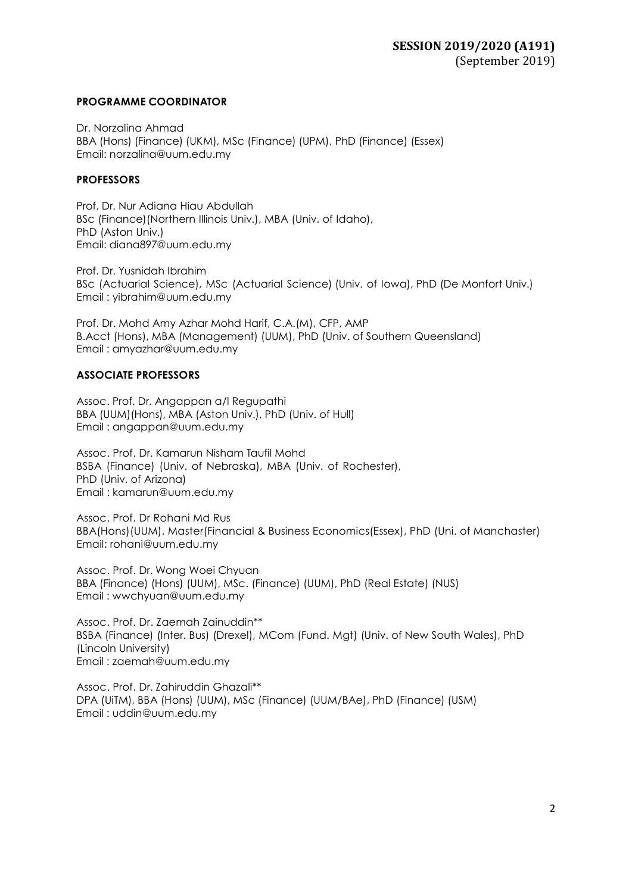### **PROGRAMME COORDINATOR**

Dr. Norzalina Ahmad BBA (Hons) (Finance) (UKM), MSc (Finance) (UPM), PhD (Finance) (Essex) Email: [norzalina@uum.edu.my](mailto:norzalina@uum.edu.my)

### **PROFESSORS**

Prof. Dr. Nur Adiana Hiau Abdullah BSc (Finance)(Northern Illinois Univ.), MBA (Univ. of Idaho), PhD (Aston Univ.) Email: [diana897@uum.edu.my](mailto:diana897@uum.edu.my)

Prof. Dr. Yusnidah Ibrahim BSc (Actuarial Science), MSc (Actuarial Science) (Univ. of Iowa), PhD (De Monfort Univ.) Email : [yibrahim@uum.edu.my](mailto:yibrahim@uum.edu.my)

Prof. Dr. Mohd Amy Azhar Mohd Harif, C.A.(M), CFP, AMP B.Acct (Hons), MBA (Management) (UUM), PhD (Univ. of Southern Queensland) Email : amyazhar@uum.edu.my

### **ASSOCIATE PROFESSORS**

Assoc. Prof. Dr. Angappan a/l Regupathi BBA (UUM)(Hons), MBA (Aston Univ.), PhD (Univ. of Hull) Email : [angappan@uum.edu.my](mailto:angappan@uum.edu.my)

Assoc. Prof. Dr. Kamarun Nisham Taufil Mohd BSBA (Finance) (Univ. of Nebraska), MBA (Univ. of Rochester), PhD (Univ. of Arizona) Email : [kamarun@uum.edu.my](mailto:kamarun@uum.edu.my)

Assoc. Prof. Dr Rohani Md Rus BBA(Hons)(UUM), Master(Financial & Business Economics(Essex), PhD (Uni. of Manchaster) Email: rohani@uum.edu.my

Assoc. Prof. Dr. Wong Woei Chyuan BBA (Finance) (Hons) (UUM), MSc. (Finance) (UUM), PhD (Real Estate) (NUS) Email : [wwchyuan@uum.edu.my](mailto:wwchyuan@uum.edu.my)

Assoc. Prof. Dr. Zaemah Zainuddin\*\* BSBA (Finance) (Inter. Bus) (Drexel), MCom (Fund. Mgt) (Univ. of New South Wales), PhD (Lincoln University) Email : [zaemah@uum.edu.my](mailto:zaemah@uum.edu.my)

Assoc. Prof. Dr. Zahiruddin Ghazali\*\* DPA (UiTM), BBA (Hons) (UUM), MSc (Finance) (UUM/BAe), PhD (Finance) (USM) Email : [uddin@uum.edu.my](mailto:uddin@uum.edu.my)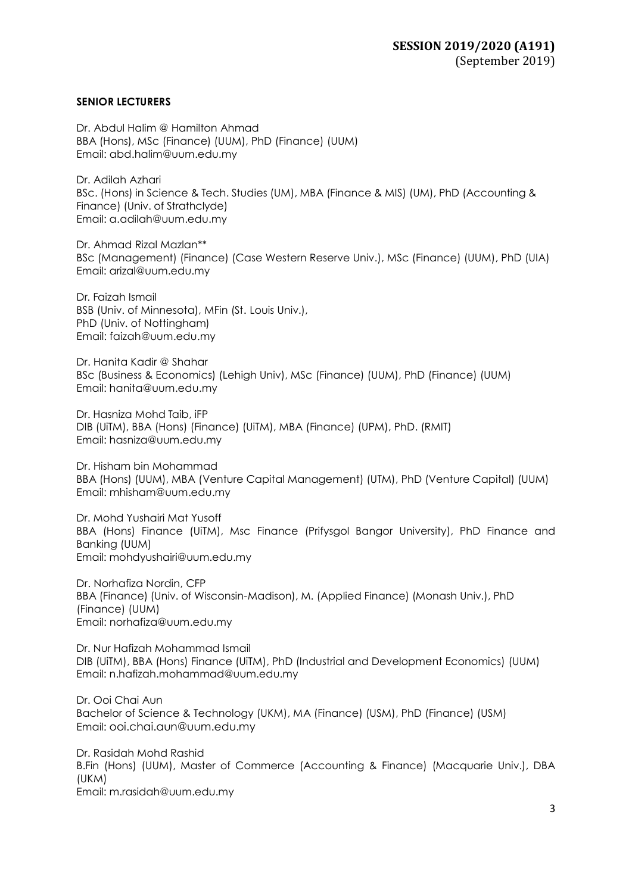### **SENIOR LECTURERS**

Dr. Abdul Halim @ Hamilton Ahmad BBA (Hons), MSc (Finance) (UUM), PhD (Finance) (UUM) Email: [abd.halim@uum.edu.my](mailto:abd.halim@uum.edu.my)

Dr. Adilah Azhari BSc. (Hons) in Science & Tech. Studies (UM), MBA (Finance & MIS) (UM), PhD (Accounting & Finance) (Univ. of Strathclyde) Email: [a.adilah@uum.edu.my](mailto:a.adilah@uum.edu.my)

Dr. Ahmad Rizal Mazlan\*\* BSc (Management) (Finance) (Case Western Reserve Univ.), MSc (Finance) (UUM), PhD (UIA) Email: [arizal@uum.edu.my](mailto:arizal@uum.edu.my)

Dr. Faizah Ismail BSB (Univ. of Minnesota), MFin (St. Louis Univ.), PhD (Univ. of Nottingham) Email: [faizah@uum.edu.my](mailto:faizah@uum.edu.my)

Dr. Hanita Kadir @ Shahar BSc (Business & Economics) (Lehigh Univ), MSc (Finance) (UUM), PhD (Finance) (UUM) Email: [hanita@uum.edu.my](mailto:hanita@uum.edu.my)

Dr. Hasniza Mohd Taib, iFP DIB (UiTM), BBA (Hons) (Finance) (UiTM), MBA (Finance) (UPM), PhD. (RMIT) Ema[il: hasniza@uum.edu.my](mailto:hasniza@uum.edu.my)

Dr. Hisham bin Mohammad BBA (Hons) (UUM), MBA (Venture Capital Management) (UTM), PhD (Venture Capital) (UUM) Email: [mhisham@uum.edu.my](mailto:mhisham@uum.edu.my)

Dr. Mohd Yushairi Mat Yusoff BBA (Hons) Finance (UiTM), Msc Finance (Prifysgol Bangor University), PhD Finance and Banking (UUM) Email: mohdyushairi@uum.edu.my

Dr. Norhafiza Nordin, CFP BBA (Finance) (Univ. of Wisconsin-Madison), M. (Applied Finance) (Monash Univ.), PhD (Finance) (UUM) Email: [norhafiza@uum.edu.my](mailto:norhafiza@uum.edu.my)

Dr. Nur Hafizah Mohammad Ismail DIB (UiTM), BBA (Hons) Finance (UiTM), PhD (Industrial and Development Economics) (UUM) Email: [n.hafizah.mohammad@uum.edu.my](mailto:n.hafizah.mohammad@uum.edu.my)

Dr. Ooi Chai Aun Bachelor of Science & Technology (UKM), MA (Finance) (USM), PhD (Finance) (USM) Email: ooi.chai.aun@uum.edu.my

Dr. Rasidah Mohd Rashid B.Fin (Hons) (UUM), Master of Commerce (Accounting & Finance) (Macquarie Univ.), DBA (UKM) Email: m.rasidah@uum.edu.my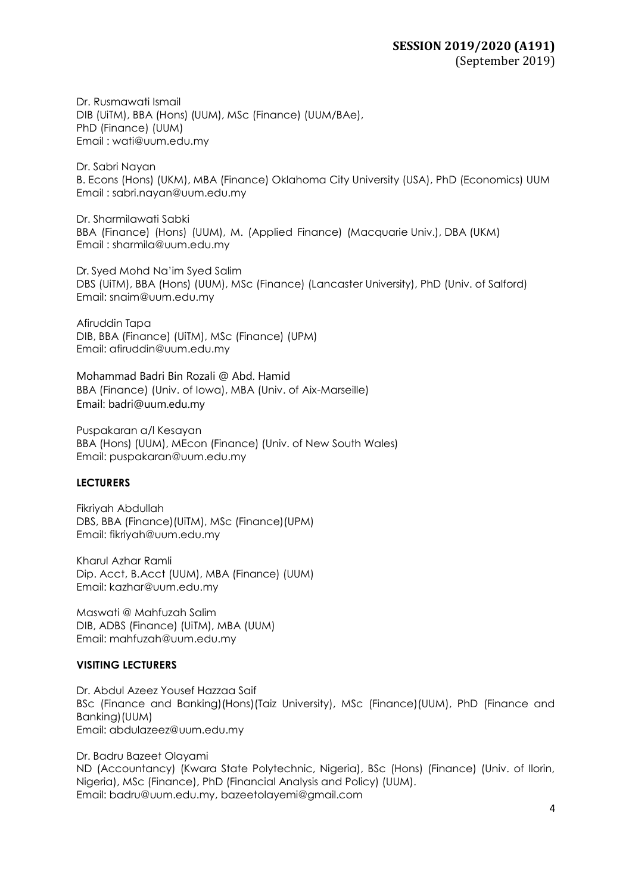Dr. Rusmawati Ismail DIB (UiTM), BBA (Hons) (UUM), MSc (Finance) (UUM/BAe), PhD (Finance) (UUM) Email : [wati@uum.edu.my](mailto:wati@uum.edu.my)

Dr. Sabri Nayan B. Econs (Hons) (UKM), MBA (Finance) Oklahoma City University (USA), PhD (Economics) UUM Email : sabri.nayan@uum.edu.my

Dr. Sharmilawati Sabki BBA (Finance) (Hons) (UUM), M. (Applied Finance) (Macquarie Univ.), DBA (UKM) Email : [sharmila@uum.edu.my](mailto:sharmila@uum.edu.my)

Dr. Syed Mohd Na'im Syed Salim DBS (UiTM), BBA (Hons) (UUM), MSc (Finance) (Lancaster University), PhD (Univ. of Salford) Email: [snaim@uum.edu.my](mailto:snaim@uum.edu.my)

Afiruddin Tapa DIB, BBA (Finance) (UiTM), MSc (Finance) (UPM) Email: [afiruddin@uum.edu.my](mailto:afiruddin@uum.edu.my)

Mohammad Badri Bin Rozali @ Abd. Hamid BBA (Finance) (Univ. of Iowa), MBA (Univ. of Aix-Marseille) Email: badri@uum.edu.my

Puspakaran a/l Kesayan BBA (Hons) (UUM), MEcon (Finance) (Univ. of New South Wales) Email: [puspakaran@uum.edu.my](mailto:puspakaran@uum.edu.my)

### **LECTURERS**

Fikriyah Abdullah DBS, BBA (Finance)(UiTM), MSc (Finance)(UPM) Email: [fikriyah@uum.edu.my](mailto:fikriyah@uum.edu.my)

Kharul Azhar Ramli Dip. Acct, B.Acct (UUM), MBA (Finance) (UUM) Email: [kazhar@uum.edu.my](mailto:kazhar@uum.edu.my)

Maswati @ Mahfuzah Salim DIB, ADBS (Finance) (UiTM), MBA (UUM) Email: [mahfuzah@uum.edu.my](mailto:mahfuzah@uum.edu.my)

### **VISITING LECTURERS**

Dr. Abdul Azeez Yousef Hazzaa Saif BSc (Finance and Banking)(Hons)(Taiz University), MSc (Finance)(UUM), PhD (Finance and Banking)(UUM) Email: abdulazeez@uum.edu.my

Dr. Badru Bazeet Olayami ND (Accountancy) (Kwara State Polytechnic, Nigeria), BSc (Hons) (Finance) (Univ. of Ilorin, Nigeria), MSc (Finance), PhD (Financial Analysis and Policy) (UUM). Email: badru@uum.edu.my, [bazeetolayemi@gmail.com](mailto:bazeetolayemi@gmail.com)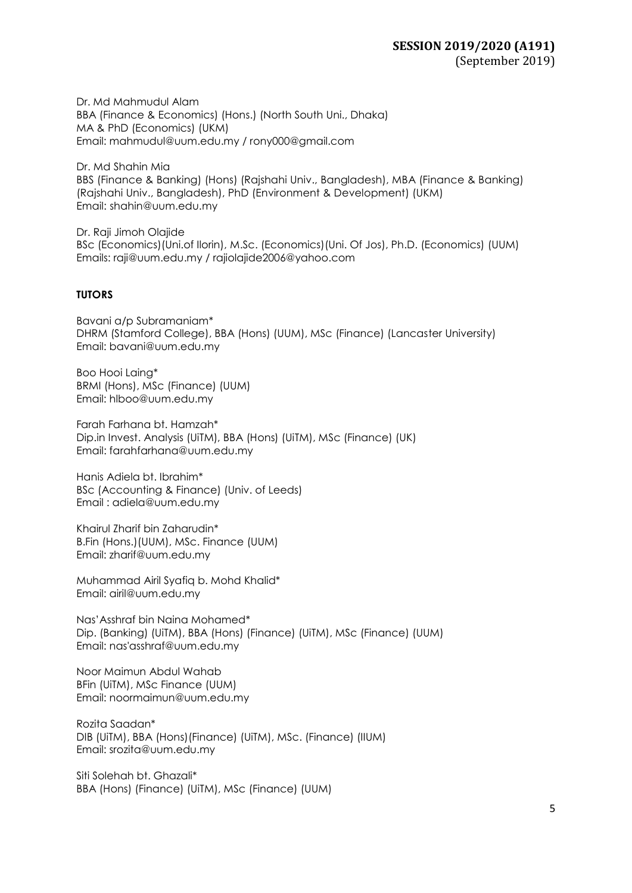Dr. Md Mahmudul Alam BBA (Finance & Economics) (Hons.) (North South Uni., Dhaka) MA & PhD (Economics) (UKM) Email: [mahmudul@uum.edu.my](mailto:mahmudul@uum.edu.my) / [rony000@gmail.com](mailto:rony000@gmail.com)

Dr. Md Shahin Mia BBS (Finance & Banking) (Hons) (Rajshahi Univ., Bangladesh), MBA (Finance & Banking) (Rajshahi Univ., Bangladesh), PhD (Environment & Development) (UKM) Email: [shahin@uum.edu.my](mailto:shahin@uum.edu.my)

Dr. Raji Jimoh Olajide BSc (Economics)(Uni.of Ilorin), M.Sc. (Economics)(Uni. Of Jos), Ph.D. (Economics) (UUM) Emails: [raji@uum.edu.m](mailto:raji@uum.edu)y / [rajiolajide2006@yahoo.com](mailto:rajiolajide2006@yahoo.com)

### **TUTORS**

Bavani a/p Subramaniam\* DHRM (Stamford College), BBA (Hons) (UUM), MSc (Finance) (Lancaster University) Email: bavani@uum.edu.my

Boo Hooi Laing\* BRMI (Hons), MSc (Finance) (UUM) Email: hlboo@uum.edu.my

Farah Farhana bt. Hamzah\* Dip.in Invest. Analysis (UiTM), BBA (Hons) (UiTM), MSc (Finance) (UK) Email: [farahfarhana@uum.edu.my](mailto:farahfarhana@uum.edu.my)

Hanis Adiela bt. Ibrahim\* BSc (Accounting & Finance) (Univ. of Leeds) Email : adiela@uum.edu.my

Khairul Zharif bin Zaharudin\* B.Fin (Hons.)(UUM), MSc. Finance (UUM) Email: [zharif@uum.edu.my](mailto:zharif@uum.edu.my)

Muhammad Airil Syafiq b. Mohd Khalid\* Email: airil@uum.edu.my

Nas'Asshraf bin Naina Mohamed\* Dip. (Banking) (UiTM), BBA (Hons) (Finance) (UiTM), MSc (Finance) (UUM) Email: nas'asshraf@uum.edu.my

Noor Maimun Abdul Wahab BFin (UiTM), MSc Finance (UUM) Email: noormaimun@uum.edu.my

Rozita Saadan\* DIB (UiTM), BBA (Hons)(Finance) (UiTM), MSc. (Finance) (IIUM) Email: srozita@uum.edu.my

Siti Solehah bt. Ghazali\* BBA (Hons) (Finance) (UiTM), MSc (Finance) (UUM)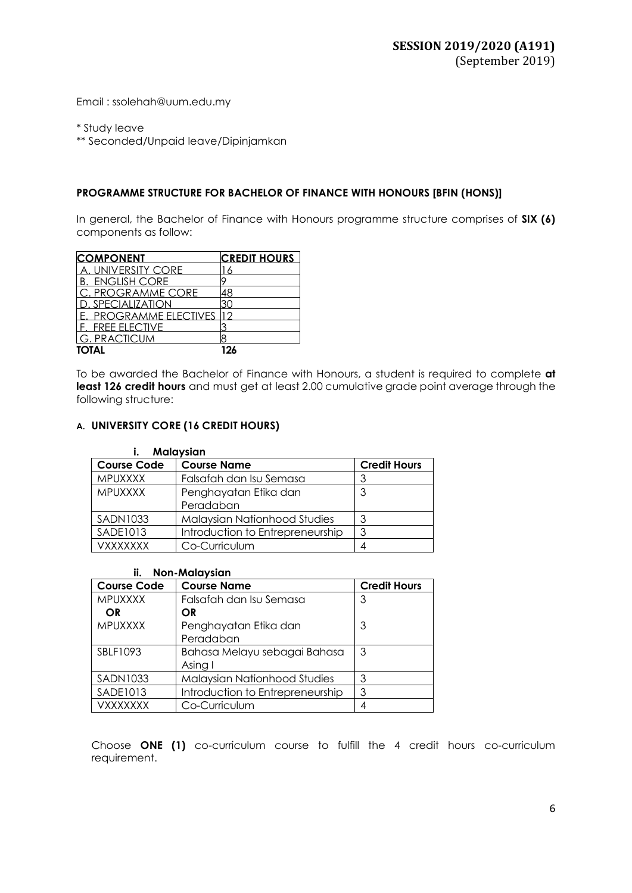Email : ssolehah@uum.edu.my

\* Study leave

\*\* Seconded/Unpaid leave/Dipinjamkan

### **PROGRAMME STRUCTURE FOR BACHELOR OF FINANCE WITH HONOURS [BFIN (HONS)]**

In general, the Bachelor of Finance with Honours programme structure comprises of **SIX (6)** components as follow:

| <b>COMPONENT</b>       | <b>CREDIT HOURS</b> |
|------------------------|---------------------|
| A. UNIVERSITY CORE     |                     |
| <b>B. ENGLISH CORE</b> |                     |
| C. PROGRAMME CORE      |                     |
| I D. SPECIALIZATION    |                     |
| E. PROGRAMME ELECTIVES |                     |
| . FREE ELECTIVE        |                     |
| IG. PRACTICUM          |                     |
| <b>TOTAL</b>           | 191                 |

To be awarded the Bachelor of Finance with Honours, a student is required to complete **at** least 126 credit hours and must get at least 2.00 cumulative grade point average through the following structure:

### **A. UNIVERSITY CORE (16 CREDIT HOURS)**

| <b>Malaysian</b>   |                                     |                     |  |
|--------------------|-------------------------------------|---------------------|--|
| <b>Course Code</b> | <b>Course Name</b>                  | <b>Credit Hours</b> |  |
| <b>MPUXXXX</b>     | Falsafah dan Isu Semasa             |                     |  |
| <b>MPUXXXX</b>     | Penghayatan Etika dan               | 3                   |  |
|                    | Peradaban                           |                     |  |
| <b>SADN1033</b>    | <b>Malaysian Nationhood Studies</b> |                     |  |
| SADE1013           | Introduction to Entrepreneurship    | 3                   |  |
| VXXXXXXX           | Co-Curriculum                       |                     |  |

| <b>Non-Malaysian</b><br>ii. |                                  |                     |  |  |
|-----------------------------|----------------------------------|---------------------|--|--|
| <b>Course Code</b>          | <b>Course Name</b>               | <b>Credit Hours</b> |  |  |
| <b>MPUXXXX</b>              | Falsafah dan Isu Semasa          | 3                   |  |  |
| OR                          | OR                               |                     |  |  |
| <b>MPUXXXX</b>              | Penghayatan Etika dan            | 3                   |  |  |
|                             | Peradaban                        |                     |  |  |
| SBLF1093                    | Bahasa Melayu sebagai Bahasa     | 3                   |  |  |
|                             | Asing I                          |                     |  |  |
| <b>SADN1033</b>             | Malaysian Nationhood Studies     | 3                   |  |  |
| <b>SADE1013</b>             | Introduction to Entrepreneurship | 3                   |  |  |
| VXXXXXXX                    | Co-Curriculum                    |                     |  |  |

Choose **ONE (1)** co-curriculum course to fulfill the 4 credit hours co-curriculum requirement.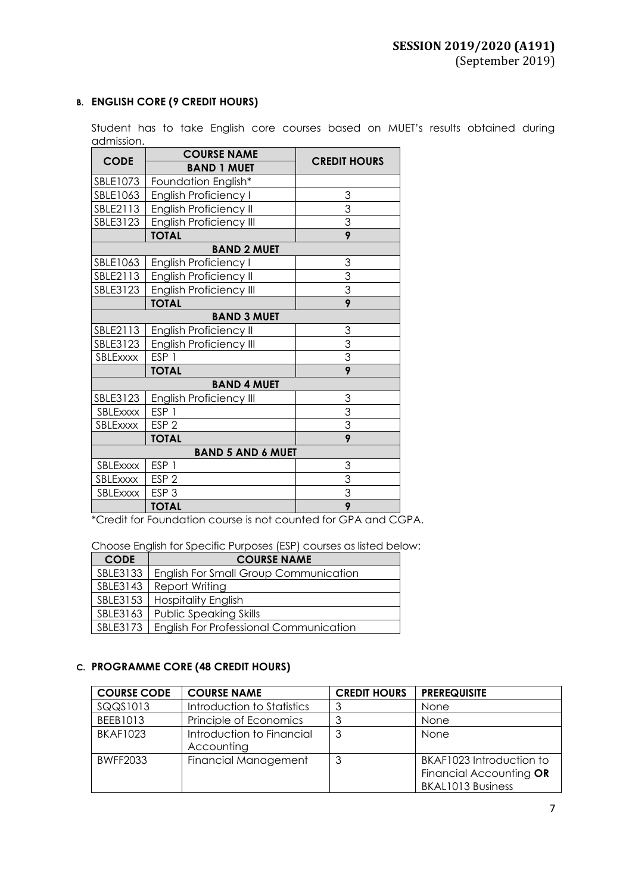### **B. ENGLISH CORE (9 CREDIT HOURS)**

Student has to take English core courses based on MUET's results obtained during admission.

|                          | <b>COURSE NAME</b>             |                           |  |
|--------------------------|--------------------------------|---------------------------|--|
| <b>CODE</b>              | <b>BAND 1 MUET</b>             | <b>CREDIT HOURS</b>       |  |
| SBLE1073                 | Foundation English*            |                           |  |
| SBLE1063                 | <b>English Proficiency I</b>   | 3                         |  |
| SBLE2113                 | <b>English Proficiency II</b>  | 3                         |  |
| SBLE3123                 | <b>English Proficiency III</b> | $\overline{3}$            |  |
|                          | <b>TOTAL</b>                   | $\overline{9}$            |  |
|                          | <b>BAND 2 MUET</b>             |                           |  |
| SBLE1063                 | <b>English Proficiency I</b>   | 3                         |  |
| SBLE2113                 | <b>English Proficiency II</b>  | $\frac{3}{3}$             |  |
| SBLE3123                 | <b>English Proficiency III</b> |                           |  |
|                          | <b>TOTAL</b>                   | 9                         |  |
|                          | <b>BAND 3 MUET</b>             |                           |  |
| SBLE2113                 | <b>English Proficiency II</b>  | 3                         |  |
| SBLE3123                 | <b>English Proficiency III</b> | $\frac{3}{3}$             |  |
| SBLExxxx                 | ESP <sub>1</sub>               |                           |  |
|                          | <b>TOTAL</b>                   | $\overline{9}$            |  |
|                          | <b>BAND 4 MUET</b>             |                           |  |
| SBLE3123                 | <b>English Proficiency III</b> | 3                         |  |
| SBLExxxx                 | ESP <sub>1</sub>               | $\frac{3}{3}$             |  |
| SBLExxxx                 | ESP <sub>2</sub>               |                           |  |
|                          | <b>TOTAL</b>                   | $\overline{9}$            |  |
| <b>BAND 5 AND 6 MUET</b> |                                |                           |  |
| SBLExxxx                 | ESP 1                          | $\ensuremath{\mathsf{3}}$ |  |
| SBLExxxx                 | ESP <sub>2</sub>               | 3                         |  |
| SBLExxxx                 | ESP <sub>3</sub>               | $\overline{3}$            |  |
|                          | <b>TOTAL</b>                   | 9                         |  |

\*Credit for Foundation course is not counted for GPA and CGPA.

|  | Choose English for Specific Purposes (ESP) courses as listed below: |  |  |
|--|---------------------------------------------------------------------|--|--|
|--|---------------------------------------------------------------------|--|--|

| <b>CODE</b> | <b>COURSE NAME</b>                            |  |
|-------------|-----------------------------------------------|--|
| SBLE3133    | <b>English For Small Group Communication</b>  |  |
| SBLE3143    | Report Writing                                |  |
| SBLE3153    | <b>Hospitality English</b>                    |  |
| SBLE3163    | <b>Public Speaking Skills</b>                 |  |
| SBLE3173    | <b>English For Professional Communication</b> |  |

### **C. PROGRAMME CORE (48 CREDIT HOURS)**

| <b>COURSE CODE</b> | <b>COURSE NAME</b>         | <b>CREDIT HOURS</b> | <b>PREREQUISITE</b>      |
|--------------------|----------------------------|---------------------|--------------------------|
| SQQS1013           | Introduction to Statistics | 3                   | None                     |
| BEEB1013           | Principle of Economics     | ີ                   | None                     |
| <b>BKAF1023</b>    | Introduction to Financial  | 3                   | <b>None</b>              |
|                    | Accounting                 |                     |                          |
| <b>BWFF2033</b>    | Financial Management       | 3                   | BKAF1023 Introduction to |
|                    |                            |                     | Financial Accounting OR  |
|                    |                            |                     | <b>BKAL1013 Business</b> |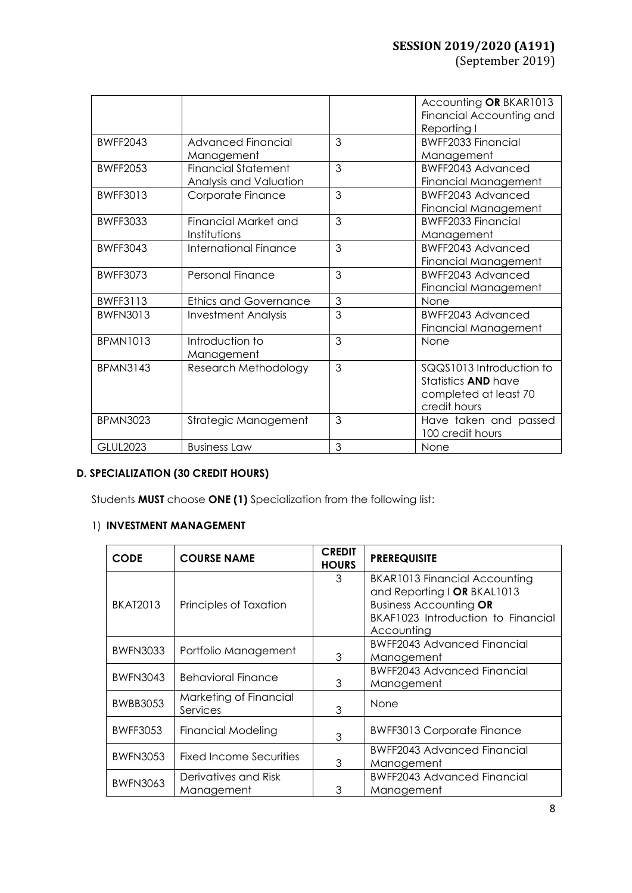| (September 2019) |  |
|------------------|--|
|------------------|--|

|                 |                                                      |   | Accounting OR BKAR1013<br>Financial Accounting and<br>Reporting I                               |
|-----------------|------------------------------------------------------|---|-------------------------------------------------------------------------------------------------|
| <b>BWFF2043</b> | Advanced Financial<br>Management                     | 3 | <b>BWFF2033 Financial</b><br>Management                                                         |
| <b>BWFF2053</b> | <b>Financial Statement</b><br>Analysis and Valuation | 3 | BWFF2043 Advanced<br>Financial Management                                                       |
| <b>BWFF3013</b> | Corporate Finance                                    | 3 | BWFF2043 Advanced<br><b>Financial Management</b>                                                |
| <b>BWFF3033</b> | Financial Market and<br>Institutions                 | 3 | <b>BWFF2033 Financial</b><br>Management                                                         |
| <b>BWFF3043</b> | <b>International Finance</b>                         | 3 | <b>BWFF2043 Advanced</b><br>Financial Management                                                |
| BWFF3073        | Personal Finance                                     | 3 | BWFF2043 Advanced<br>Financial Management                                                       |
| <b>BWFF3113</b> | <b>Ethics and Governance</b>                         | 3 | None                                                                                            |
| <b>BWFN3013</b> | <b>Investment Analysis</b>                           | 3 | BWFF2043 Advanced<br>Financial Management                                                       |
| <b>BPMN1013</b> | Introduction to<br>Management                        | 3 | None                                                                                            |
| <b>BPMN3143</b> | Research Methodology                                 | 3 | SQQS1013 Introduction to<br>Statistics <b>AND</b> have<br>completed at least 70<br>credit hours |
| <b>BPMN3023</b> | Strategic Management                                 | 3 | Have taken and passed<br>100 credit hours                                                       |
| <b>GLUL2023</b> | <b>Business Law</b>                                  | 3 | None                                                                                            |

## **D. SPECIALIZATION (30 CREDIT HOURS)**

Students **MUST** choose **ONE (1)** Specialization from the following list:

### 1) **INVESTMENT MANAGEMENT**

| <b>CODE</b>     | <b>COURSE NAME</b>                 | <b>CREDIT</b><br><b>HOURS</b> | <b>PREREQUISITE</b>                              |
|-----------------|------------------------------------|-------------------------------|--------------------------------------------------|
|                 |                                    | 3                             | <b>BKAR1013 Financial Accounting</b>             |
|                 |                                    |                               | and Reporting I OR BKAL1013                      |
| <b>BKAT2013</b> | Principles of Taxation             |                               | <b>Business Accounting OR</b>                    |
|                 |                                    |                               | BKAF1023 Introduction to Financial               |
|                 |                                    |                               | Accounting<br><b>BWFF2043 Advanced Financial</b> |
| <b>BWFN3033</b> | Portfolio Management               | 3                             | Management                                       |
|                 |                                    |                               | <b>BWFF2043 Advanced Financial</b>               |
| <b>BWFN3043</b> | <b>Behavioral Finance</b>          | 3                             | Management                                       |
| <b>BWBB3053</b> | Marketing of Financial<br>Services | 3                             | None                                             |
|                 |                                    |                               |                                                  |
| <b>BWFF3053</b> | Financial Modeling                 | 3                             | <b>BWFF3013 Corporate Finance</b>                |
|                 | Fixed Income Securities            |                               | <b>BWFF2043 Advanced Financial</b>               |
| <b>BWFN3053</b> |                                    | 3                             | Management                                       |
| <b>BWFN3063</b> | Derivatives and Risk               |                               | <b>BWFF2043 Advanced Financial</b>               |
|                 | Management                         | 3                             | Management                                       |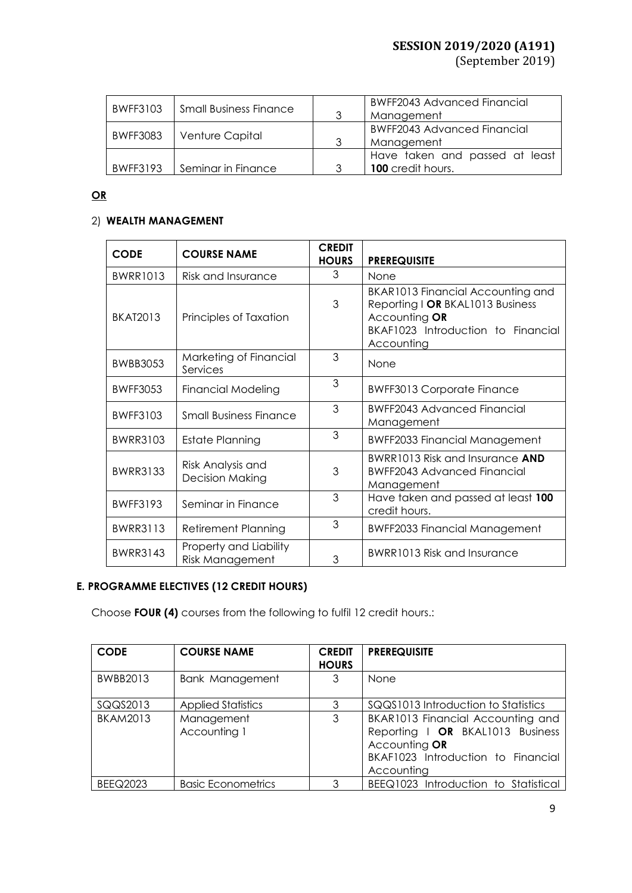(September 2019)

| BWFF3103        | Small Business Finance | 3 | <b>BWFF2043 Advanced Financial</b><br>Management           |
|-----------------|------------------------|---|------------------------------------------------------------|
| <b>BWFF3083</b> | Venture Capital        | 3 | <b>BWFF2043 Advanced Financial</b><br>Management           |
| <b>BWFF3193</b> | Seminar in Finance     | 3 | Have taken and passed at least<br><b>100</b> credit hours. |

## **OR**

### 2) **WEALTH MANAGEMENT**

| <b>CODE</b>     | <b>COURSE NAME</b>                               | <b>CREDIT</b><br><b>HOURS</b> | <b>PREREQUISITE</b>                                                                                                                        |
|-----------------|--------------------------------------------------|-------------------------------|--------------------------------------------------------------------------------------------------------------------------------------------|
| <b>BWRR1013</b> | Risk and Insurance                               | 3                             | None                                                                                                                                       |
| <b>BKAT2013</b> | Principles of Taxation                           | 3                             | BKAR1013 Financial Accounting and<br>Reporting I OR BKAL1013 Business<br>Accounting OR<br>BKAF1023 Introduction to Financial<br>Accounting |
| <b>BWBB3053</b> | Marketing of Financial<br>Services               | 3                             | None                                                                                                                                       |
| <b>BWFF3053</b> | <b>Financial Modeling</b>                        | 3                             | <b>BWFF3013 Corporate Finance</b>                                                                                                          |
| <b>BWFF3103</b> | <b>Small Business Finance</b>                    | 3                             | <b>BWFF2043 Advanced Financial</b><br>Management                                                                                           |
| <b>BWRR3103</b> | Estate Planning                                  | 3                             | <b>BWFF2033 Financial Management</b>                                                                                                       |
| <b>BWRR3133</b> | Risk Analysis and<br><b>Decision Making</b>      | 3                             | BWRR1013 Risk and Insurance AND<br><b>BWFF2043 Advanced Financial</b><br>Management                                                        |
| <b>BWFF3193</b> | Seminar in Finance                               | 3                             | Have taken and passed at least 100<br>credit hours.                                                                                        |
| <b>BWRR3113</b> | <b>Retirement Planning</b>                       | 3                             | <b>BWFF2033 Financial Management</b>                                                                                                       |
| <b>BWRR3143</b> | Property and Liability<br><b>Risk Management</b> | 3                             | BWRR1013 Risk and Insurance                                                                                                                |

### **E. PROGRAMME ELECTIVES (12 CREDIT HOURS)**

Choose **FOUR (4)** courses from the following to fulfil 12 credit hours.:

| <b>CODE</b>     | <b>COURSE NAME</b>         | <b>CREDIT</b><br><b>HOURS</b> | <b>PREREQUISITE</b>                                                                                                                        |
|-----------------|----------------------------|-------------------------------|--------------------------------------------------------------------------------------------------------------------------------------------|
| <b>BWBB2013</b> | <b>Bank Management</b>     | 3                             | None                                                                                                                                       |
| SQQS2013        | <b>Applied Statistics</b>  | 3                             | SQQS1013 Introduction to Statistics                                                                                                        |
| <b>BKAM2013</b> | Management<br>Accounting 1 | 3                             | BKAR1013 Financial Accounting and<br>Reporting   OR BKAL1013 Business<br>Accounting OR<br>BKAF1023 Introduction to Financial<br>Accounting |
| <b>BEEQ2023</b> | <b>Basic Econometrics</b>  | 3                             | BEEQ1023 Introduction to Statistical                                                                                                       |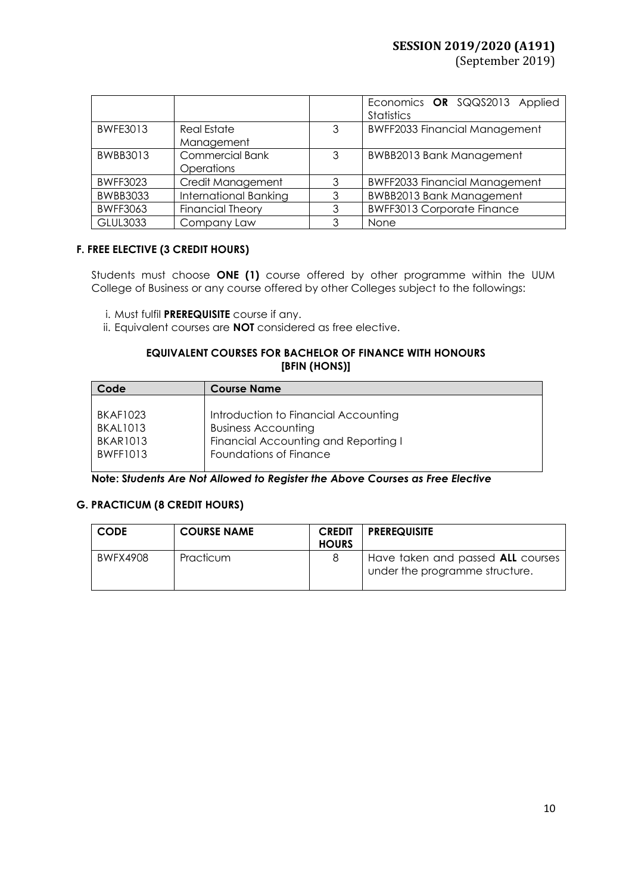(September 2019)

|                 |                         |   | Economics OR SQQS2013 Applied<br><b>Statistics</b> |  |
|-----------------|-------------------------|---|----------------------------------------------------|--|
| <b>BWFE3013</b> | <b>Real Estate</b>      | 3 | <b>BWFF2033 Financial Management</b>               |  |
|                 | Management              |   |                                                    |  |
| BWBB3013        | <b>Commercial Bank</b>  | 3 | <b>BWBB2013 Bank Management</b>                    |  |
|                 | Operations              |   |                                                    |  |
| <b>BWFF3023</b> | Credit Management       | 3 | <b>BWFF2033 Financial Management</b>               |  |
| <b>BWBB3033</b> | International Banking   | 3 | <b>BWBB2013 Bank Management</b>                    |  |
| <b>BWFF3063</b> | <b>Financial Theory</b> | 3 | <b>BWFF3013 Corporate Finance</b>                  |  |
| <b>GLUL3033</b> | Company Law             | 3 | None                                               |  |

### **F. FREE ELECTIVE (3 CREDIT HOURS)**

Students must choose **ONE (1)** course offered by other programme within the UUM College of Business or any course offered by other Colleges subject to the followings:

i. Must fulfil **PREREQUISITE** course if any.

ii. Equivalent courses are **NOT** considered as free elective.

### **EQUIVALENT COURSES FOR BACHELOR OF FINANCE WITH HONOURS [BFIN (HONS)]**

| <b>Course Name</b>                   |
|--------------------------------------|
|                                      |
| Introduction to Financial Accounting |
| <b>Business Accounting</b>           |
| Financial Accounting and Reporting I |
| Foundations of Finance               |
|                                      |

**Note: S***tudents Are Not Allowed to Register the Above Courses as Free Elective*

### **G. PRACTICUM (8 CREDIT HOURS)**

| <b>CODE</b> | <b>COURSE NAME</b> | <b>CREDIT</b><br><b>HOURS</b> | <b>PREREQUISITE</b>                                                 |
|-------------|--------------------|-------------------------------|---------------------------------------------------------------------|
| BWFX4908    | Practicum          |                               | Have taken and passed ALL courses<br>under the programme structure. |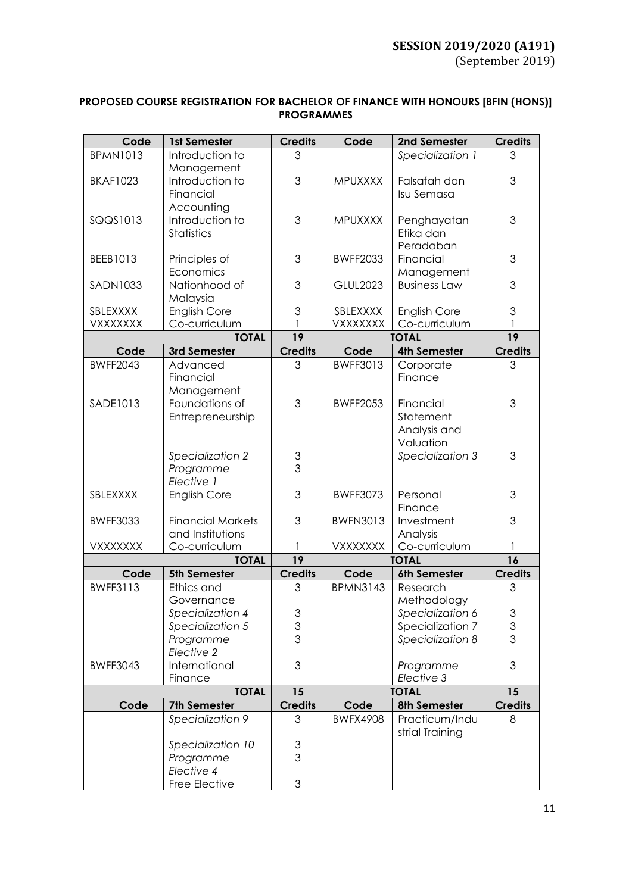| PROPOSED COURSE REGISTRATION FOR BACHELOR OF FINANCE WITH HONOURS [BFIN (HONS)] |  |
|---------------------------------------------------------------------------------|--|
| <b>PROGRAMMES</b>                                                               |  |

| Code            | 1st Semester             | <b>Credits</b>            | Code            | 2nd Semester        | <b>Credits</b>            |
|-----------------|--------------------------|---------------------------|-----------------|---------------------|---------------------------|
| <b>BPMN1013</b> | Introduction to          | 3                         |                 | Specialization 1    | 3                         |
|                 | Management               |                           |                 |                     |                           |
| <b>BKAF1023</b> | Introduction to          | 3                         | MPUXXXX         | Falsafah dan        | 3                         |
|                 | Financial                |                           |                 | Isu Semasa          |                           |
|                 | Accounting               |                           |                 |                     |                           |
| SQQS1013        | Introduction to          | 3                         | MPUXXXX         | Penghayatan         | 3                         |
|                 | <b>Statistics</b>        |                           |                 | Etika dan           |                           |
|                 |                          |                           |                 |                     |                           |
|                 |                          |                           |                 | Peradaban           |                           |
| BEEB1013        | Principles of            | 3                         | <b>BWFF2033</b> | Financial           | $\mathfrak 3$             |
|                 | Economics                |                           |                 | Management          |                           |
| SADN1033        | Nationhood of            | 3                         | <b>GLUL2023</b> | <b>Business Law</b> | 3                         |
|                 | Malaysia                 |                           |                 |                     |                           |
| SBLEXXXX        | English Core             | 3                         | SBLEXXXX        | <b>English Core</b> | $\ensuremath{\mathsf{3}}$ |
| VXXXXXXX        | Co-curriculum            |                           | <b>VXXXXXXX</b> | Co-curriculum       |                           |
|                 | <b>TOTAL</b>             | 19                        |                 | <b>TOTAL</b>        | 19                        |
| Code            | 3rd Semester             | <b>Credits</b>            | Code            | <b>4th Semester</b> | <b>Credits</b>            |
| <b>BWFF2043</b> | Advanced                 | 3                         | <b>BWFF3013</b> | Corporate           | 3                         |
|                 | Financial                |                           |                 | Finance             |                           |
|                 | Management               |                           |                 |                     |                           |
| <b>SADE1013</b> | Foundations of           | 3                         | <b>BWFF2053</b> | Financial           | 3                         |
|                 | Entrepreneurship         |                           |                 | Statement           |                           |
|                 |                          |                           |                 | Analysis and        |                           |
|                 |                          |                           |                 | Valuation           |                           |
|                 | Specialization 2         |                           |                 | Specialization 3    | 3                         |
|                 | Programme                | $\frac{3}{3}$             |                 |                     |                           |
|                 | Elective 1               |                           |                 |                     |                           |
|                 |                          | 3                         |                 |                     |                           |
| SBLEXXXX        | <b>English Core</b>      |                           | <b>BWFF3073</b> | Personal            | 3                         |
|                 |                          |                           |                 | Finance             |                           |
| <b>BWFF3033</b> | <b>Financial Markets</b> | 3                         | <b>BWFN3013</b> | Investment          | $\mathfrak 3$             |
|                 | and Institutions         |                           |                 | Analysis            |                           |
| <b>VXXXXXXX</b> | Co-curriculum            |                           | <b>VXXXXXXX</b> | Co-curriculum       | 1                         |
|                 | <b>TOTAL</b>             | 19                        |                 | <b>TOTAL</b>        | 16                        |
| Code            | 5th Semester             | <b>Credits</b>            | Code            | 6th Semester        | <b>Credits</b>            |
| <b>BWFF3113</b> | Ethics and               | 3                         | <b>BPMN3143</b> | Research            | 3                         |
|                 | Governance               |                           |                 | Methodology         |                           |
|                 | Specialization 4         |                           |                 | Specialization 6    | 3                         |
|                 | Specialization 5         | $\frac{3}{3}$             |                 | Specialization 7    | $\mathfrak{S}$            |
|                 | Programme                |                           |                 | Specialization 8    | $\overline{3}$            |
|                 | Elective 2               |                           |                 |                     |                           |
| <b>BWFF3043</b> | International            | 3                         |                 | Programme           | 3                         |
|                 | Finance                  |                           |                 | Elective 3          |                           |
|                 | <b>TOTAL</b>             | 15                        |                 | <b>TOTAL</b>        | 15                        |
| Code            | 7th Semester             | <b>Credits</b>            | Code            | 8th Semester        | <b>Credits</b>            |
|                 | Specialization 9         | 3                         | <b>BWFX4908</b> | Practicum/Indu      | 8                         |
|                 |                          |                           |                 | strial Training     |                           |
|                 | Specialization 10        | $\ensuremath{\mathsf{3}}$ |                 |                     |                           |
|                 | Programme                | 3                         |                 |                     |                           |
|                 | Elective 4               |                           |                 |                     |                           |
|                 | Free Elective            | 3                         |                 |                     |                           |
|                 |                          |                           |                 |                     |                           |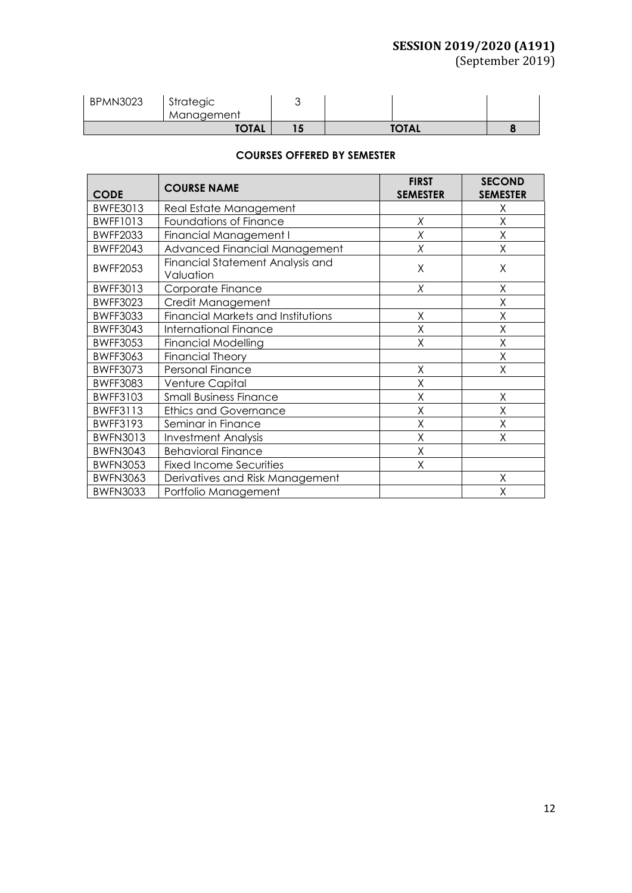(September 2019)

| <b>BPMN3023</b> | Strategic<br>Management |              |  |
|-----------------|-------------------------|--------------|--|
| <b>TOTAL</b>    |                         | <b>TOTAL</b> |  |

### **COURSES OFFERED BY SEMESTER**

| <b>CODE</b>     | <b>COURSE NAME</b>                            | <b>FIRST</b><br><b>SEMESTER</b> | <b>SECOND</b><br><b>SEMESTER</b> |
|-----------------|-----------------------------------------------|---------------------------------|----------------------------------|
| <b>BWFE3013</b> | Real Estate Management                        |                                 | Χ                                |
| <b>BWFF1013</b> | Foundations of Finance                        | Χ                               | Χ                                |
| <b>BWFF2033</b> | <b>Financial Management I</b>                 | X                               | Χ                                |
| <b>BWFF2043</b> | Advanced Financial Management                 | Χ                               | Χ                                |
| <b>BWFF2053</b> | Financial Statement Analysis and<br>Valuation | $\sf X$                         | X                                |
| <b>BWFF3013</b> | Corporate Finance                             | X                               | X                                |
| <b>BWFF3023</b> | Credit Management                             |                                 | Χ                                |
| <b>BWFF3033</b> | <b>Financial Markets and Institutions</b>     | X                               | X                                |
| <b>BWFF3043</b> | <b>International Finance</b>                  | X                               | Χ                                |
| <b>BWFF3053</b> | <b>Financial Modelling</b>                    | X                               | Χ                                |
| <b>BWFF3063</b> | <b>Financial Theory</b>                       |                                 | Χ                                |
| <b>BWFF3073</b> | Personal Finance                              | X                               | X                                |
| <b>BWFF3083</b> | Venture Capital                               | X                               |                                  |
| <b>BWFF3103</b> | <b>Small Business Finance</b>                 | X                               | X                                |
| <b>BWFF3113</b> | <b>Ethics and Governance</b>                  | Χ                               | Χ                                |
| <b>BWFF3193</b> | Seminar in Finance                            | X                               | X                                |
| <b>BWFN3013</b> | <b>Investment Analysis</b>                    | X                               | X                                |
| <b>BWFN3043</b> | <b>Behavioral Finance</b>                     | X                               |                                  |
| <b>BWFN3053</b> | <b>Fixed Income Securities</b>                | Χ                               |                                  |
| <b>BWFN3063</b> | Derivatives and Risk Management               |                                 | Χ                                |
| <b>BWFN3033</b> | Portfolio Management                          |                                 | Χ                                |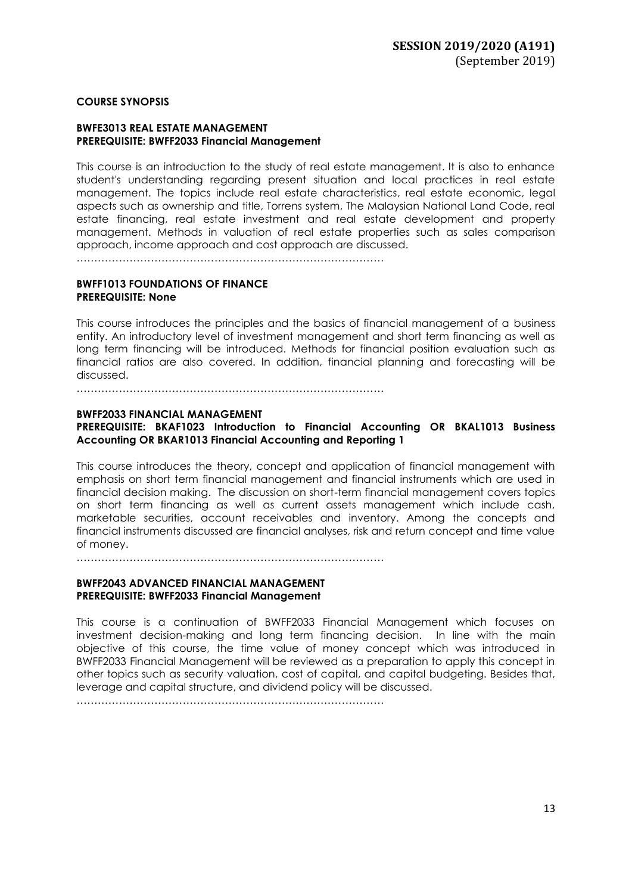### **COURSE SYNOPSIS**

#### **BWFE3013 REAL ESTATE MANAGEMENT PREREQUISITE: BWFF2033 Financial Management**

This course is an introduction to the study of real estate management. It is also to enhance student's understanding regarding present situation and local practices in real estate management. The topics include real estate characteristics, real estate economic, legal aspects such as ownership and title, Torrens system, The Malaysian National Land Code, real estate financing, real estate investment and real estate development and property management. Methods in valuation of real estate properties such as sales comparison approach, income approach and cost approach are discussed.

……………………………………………………………………………

### **BWFF1013 FOUNDATIONS OF FINANCE PREREQUISITE: None**

This course introduces the principles and the basics of financial management of a business entity. An introductory level of investment management and short term financing as well as long term financing will be introduced. Methods for financial position evaluation such as financial ratios are also covered. In addition, financial planning and forecasting will be discussed.

……………………………………………………………………………

### **BWFF2033 FINANCIAL MANAGEMENT**

### **PREREQUISITE: BKAF1023 Introduction to Financial Accounting OR BKAL1013 Business Accounting OR BKAR1013 Financial Accounting and Reporting 1**

This course introduces the theory, concept and application of financial management with emphasis on short term financial management and financial instruments which are used in financial decision making. The discussion on short-term financial management covers topics on short term financing as well as current assets management which include cash, marketable securities, account receivables and inventory. Among the concepts and financial instruments discussed are financial analyses, risk and return concept and time value of money.

……………………………………………………………………………

### **BWFF2043 ADVANCED FINANCIAL MANAGEMENT PREREQUISITE: BWFF2033 Financial Management**

This course is a continuation of BWFF2033 Financial Management which focuses on investment decision-making and long term financing decision. In line with the main objective of this course, the time value of money concept which was introduced in BWFF2033 Financial Management will be reviewed as a preparation to apply this concept in other topics such as security valuation, cost of capital, and capital budgeting. Besides that, leverage and capital structure, and dividend policy will be discussed.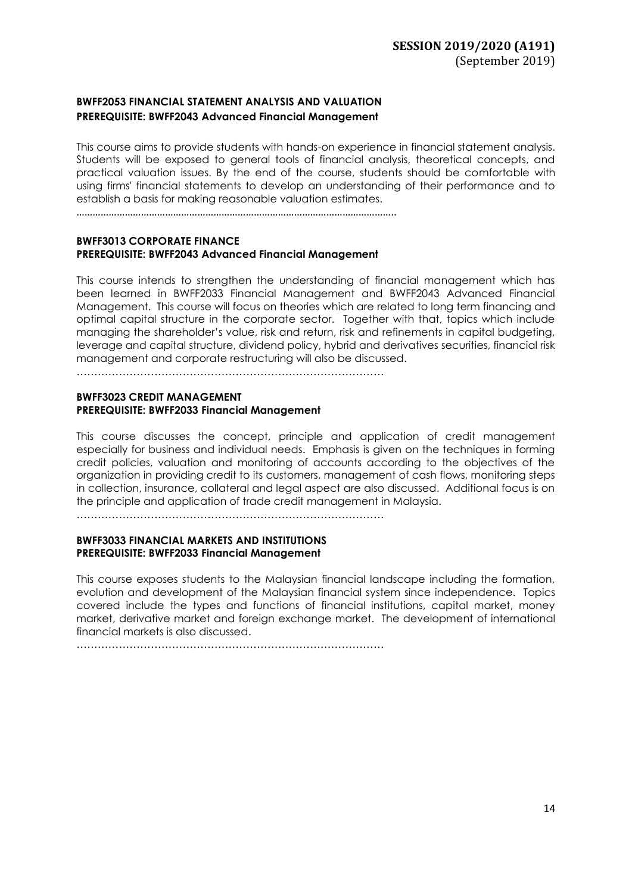### **BWFF2053 FINANCIAL STATEMENT ANALYSIS AND VALUATION PREREQUISITE: BWFF2043 Advanced Financial Management**

This course aims to provide students with hands-on experience in financial statement analysis. Students will be exposed to general tools of financial analysis, theoretical concepts, and practical valuation issues. By the end of the course, students should be comfortable with using firms' financial statements to develop an understanding of their performance and to establish a basis for making reasonable valuation estimates.

………………………………………………………………………………………………………..

### **BWFF3013 CORPORATE FINANCE PREREQUISITE: BWFF2043 Advanced Financial Management**

This course intends to strengthen the understanding of financial management which has been learned in BWFF2033 Financial Management and BWFF2043 Advanced Financial Management. This course will focus on theories which are related to long term financing and optimal capital structure in the corporate sector. Together with that, topics which include managing the shareholder's value, risk and return, risk and refinements in capital budgeting, leverage and capital structure, dividend policy, hybrid and derivatives securities, financial risk management and corporate restructuring will also be discussed.

……………………………………………………………………………

#### **BWFF3023 CREDIT MANAGEMENT PREREQUISITE: BWFF2033 Financial Management**

This course discusses the concept, principle and application of credit management especially for business and individual needs. Emphasis is given on the techniques in forming credit policies, valuation and monitoring of accounts according to the objectives of the organization in providing credit to its customers, management of cash flows, monitoring steps in collection, insurance, collateral and legal aspect are also discussed. Additional focus is on the principle and application of trade credit management in Malaysia.

……………………………………………………………………………

### **BWFF3033 FINANCIAL MARKETS AND INSTITUTIONS PREREQUISITE: BWFF2033 Financial Management**

This course exposes students to the Malaysian financial landscape including the formation, evolution and development of the Malaysian financial system since independence. Topics covered include the types and functions of financial institutions, capital market, money market, derivative market and foreign exchange market. The development of international financial markets is also discussed.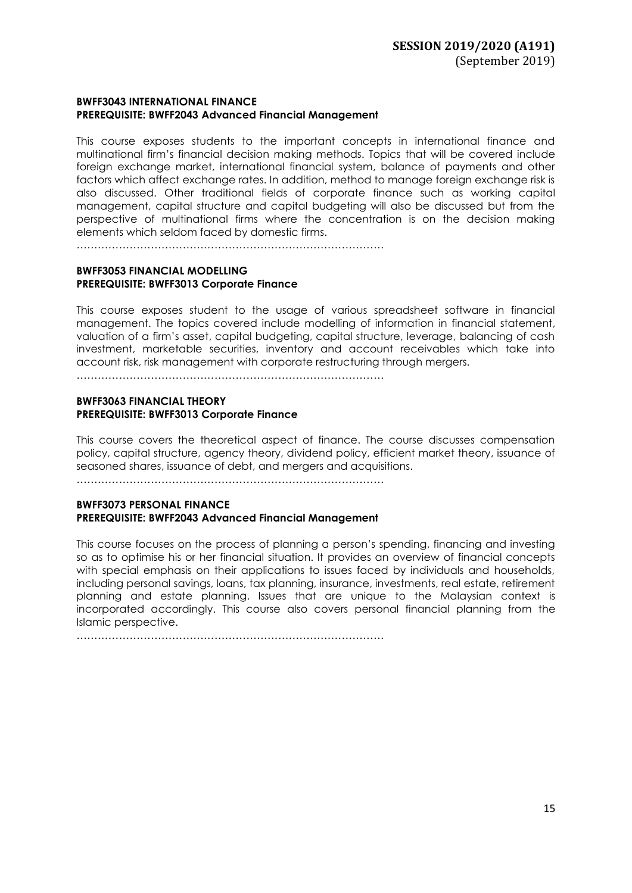### **BWFF3043 INTERNATIONAL FINANCE PREREQUISITE: BWFF2043 Advanced Financial Management**

This course exposes students to the important concepts in international finance and multinational firm's financial decision making methods. Topics that will be covered include foreign exchange market, international financial system, balance of payments and other factors which affect exchange rates. In addition, method to manage foreign exchange risk is also discussed. Other traditional fields of corporate finance such as working capital management, capital structure and capital budgeting will also be discussed but from the perspective of multinational firms where the concentration is on the decision making elements which seldom faced by domestic firms.

……………………………………………………………………………

### **BWFF3053 FINANCIAL MODELLING PREREQUISITE: BWFF3013 Corporate Finance**

This course exposes student to the usage of various spreadsheet software in financial management. The topics covered include modelling of information in financial statement, valuation of a firm's asset, capital budgeting, capital structure, leverage, balancing of cash investment, marketable securities, inventory and account receivables which take into account risk, risk management with corporate restructuring through mergers.

……………………………………………………………………………

### **BWFF3063 FINANCIAL THEORY PREREQUISITE: BWFF3013 Corporate Finance**

This course covers the theoretical aspect of finance. The course discusses compensation policy, capital structure, agency theory, dividend policy, efficient market theory, issuance of seasoned shares, issuance of debt, and mergers and acquisitions.

……………………………………………………………………………

### **BWFF3073 PERSONAL FINANCE PREREQUISITE: BWFF2043 Advanced Financial Management**

This course focuses on the process of planning a person's spending, financing and investing so as to optimise his or her financial situation. It provides an overview of financial concepts with special emphasis on their applications to issues faced by individuals and households, including personal savings, loans, tax planning, insurance, investments, real estate, retirement planning and estate planning. Issues that are unique to the Malaysian context is incorporated accordingly. This course also covers personal financial planning from the Islamic perspective.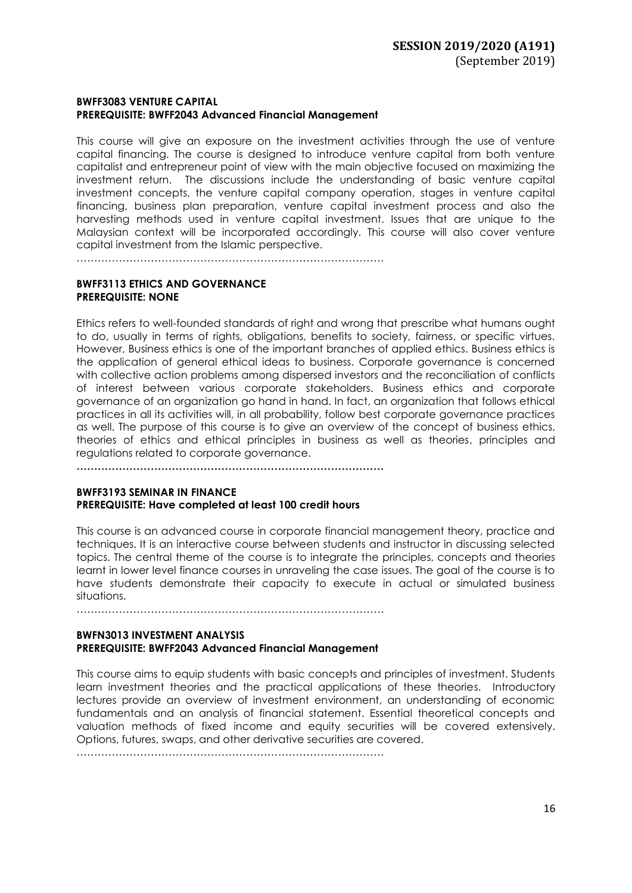### **BWFF3083 VENTURE CAPITAL PREREQUISITE: BWFF2043 Advanced Financial Management**

This course will give an exposure on the investment activities through the use of venture capital financing. The course is designed to introduce venture capital from both venture capitalist and entrepreneur point of view with the main objective focused on maximizing the investment return. The discussions include the understanding of basic venture capital investment concepts, the venture capital company operation, stages in venture capital financing, business plan preparation, venture capital investment process and also the harvesting methods used in venture capital investment. Issues that are unique to the Malaysian context will be incorporated accordingly. This course will also cover venture capital investment from the Islamic perspective.

……………………………………………………………………………

### **BWFF3113 ETHICS AND GOVERNANCE PREREQUISITE: NONE**

Ethics refers to well-founded standards of right and wrong that prescribe what humans ought to do, usually in terms of rights, obligations, benefits to society, fairness, or specific virtues. However, Business ethics is one of the important branches of applied ethics. Business ethics is the application of general ethical ideas to business. Corporate governance is concerned with collective action problems among dispersed investors and the reconciliation of conflicts of interest between various corporate stakeholders. Business ethics and corporate governance of an organization go hand in hand. In fact, an organization that follows ethical practices in all its activities will, in all probability, follow best corporate governance practices as well. The purpose of this course is to give an overview of the concept of business ethics, theories of ethics and ethical principles in business as well as theories, principles and regulations related to corporate governance.

**……………………………………………………………………………**

### **BWFF3193 SEMINAR IN FINANCE PREREQUISITE: Have completed at least 100 credit hours**

This course is an advanced course in corporate financial management theory, practice and techniques. It is an interactive course between students and instructor in discussing selected topics. The central theme of the course is to integrate the principles, concepts and theories learnt in lower level finance courses in unraveling the case issues. The goal of the course is to have students demonstrate their capacity to execute in actual or simulated business situations.

……………………………………………………………………………

### **BWFN3013 INVESTMENT ANALYSIS PREREQUISITE: BWFF2043 Advanced Financial Management**

This course aims to equip students with basic concepts and principles of investment. Students learn investment theories and the practical applications of these theories. Introductory lectures provide an overview of investment environment, an understanding of economic fundamentals and an analysis of financial statement. Essential theoretical concepts and valuation methods of fixed income and equity securities will be covered extensively. Options, futures, swaps, and other derivative securities are covered.